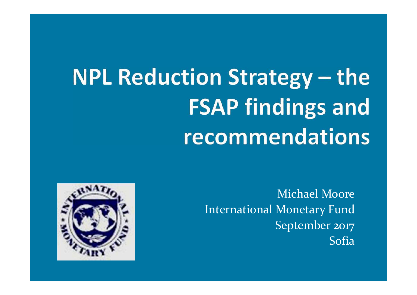# **NPL Reduction Strategy - the FSAP findings and** recommendations

Michael MooreInternational Monetary Fund September 2017Sofia

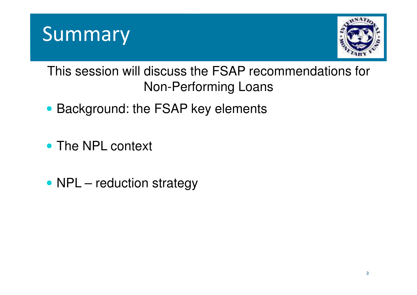



This session will discuss the FSAP recommendations for Non-Performing Loans

- Background: the FSAP key elements
- The NPL context
- NPL reduction strategy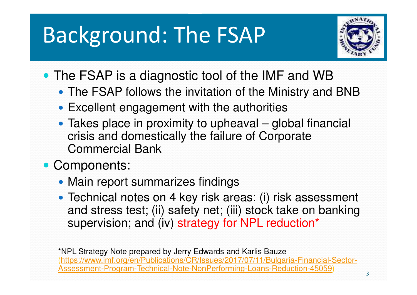### Background: The FSAP



- The FSAP is a diagnostic tool of the IMF and WB
	- The FSAP follows the invitation of the Ministry and BNB
	- Excellent engagement with the authorities
	- Takes place in proximity to upheaval global financial crisis and domestically the failure of Corporate Commercial Bank
- Components:
	- Main report summarizes findings
	- Technical notes on 4 key risk areas: (i) risk assessment and stress test; (ii) safety net; (iii) stock take on banking supervision; and (iv) strategy for NPL reduction\*

\*NPL Strategy Note prepared by Jerry Edwards and Karlis Bauze (https://www.imf.org/en/Publications/CR/Issues/2017/07/11/Bulgaria-Financial-Sector-Assessment-Program-Technical-Note-NonPerforming-Loans-Reduction-45059)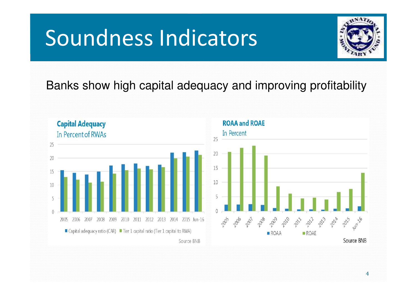### Soundness Indicators



#### Banks show high capital adequacy and improving profitability

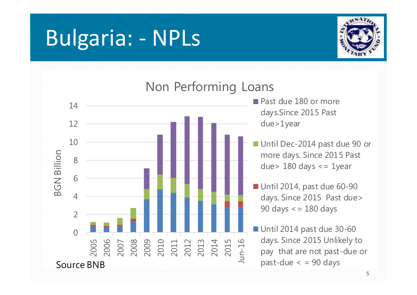### Bulgaria: - NPLs



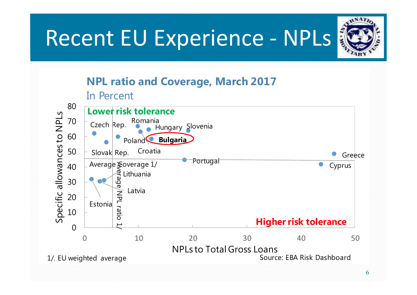# Recent EU Experience - NPLs



#### NPL ratio and Coverage, March 2017

In Percent

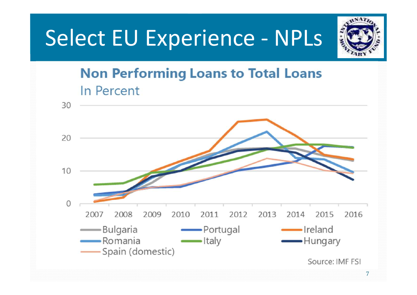### Select EU Experience - NPLs



#### **Non Performing Loans to Total Loans** In Percent

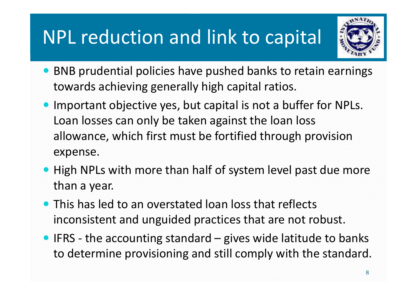#### NPL reduction and link to capital



- BNB prudential policies have pushed banks to retain earnings towards achieving generally high capital ratios.
- Important objective yes, but capital is not a buffer for NPLs. Loan losses can only be taken against the loan lossallowance, which first must be fortified through provision expense.
- High NPLs with more than half of system level past due more than a year.
- This has led to an overstated loan loss that reflects inconsistent and unguided practices that are not robust.
- $\bullet$  IFRS the accounting standard gives wide latitude to banks to determine provisioning and still comply with the standard.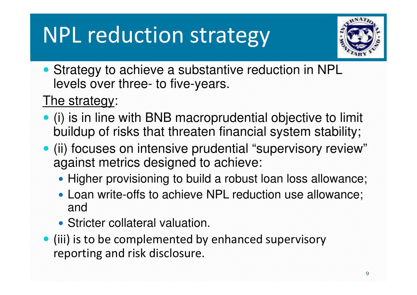### NPL reduction strategy



• Strategy to achieve a substantive reduction in NPL levels over three- to five-years.

#### The strategy:

- (i) is in line with BNB macroprudential objective to limit buildup of risks that threaten financial system stability;
- (ii) focuses on intensive prudential "supervisory review" against metrics designed to achieve:
	- Higher provisioning to build a robust loan loss allowance;
	- Loan write-offs to achieve NPL reduction use allowance; and
	- Stricter collateral valuation.
- (iii) is to be complemented by enhanced supervisory reporting and risk disclosure.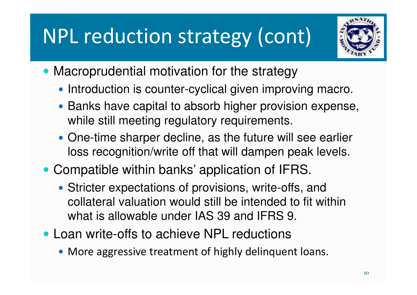### NPL reduction strategy (cont)



- Macroprudential motivation for the strategy
	- Introduction is counter-cyclical given improving macro.
	- Banks have capital to absorb higher provision expense, while still meeting regulatory requirements.
	- One-time sharper decline, as the future will see earlier loss recognition/write off that will dampen peak levels.
- Compatible within banks' application of IFRS.
	- Stricter expectations of provisions, write-offs, and collateral valuation would still be intended to fit within what is allowable under IAS 39 and IFRS 9.
- Loan write-offs to achieve NPL reductions
	- More aggressive treatment of highly delinquent loans.